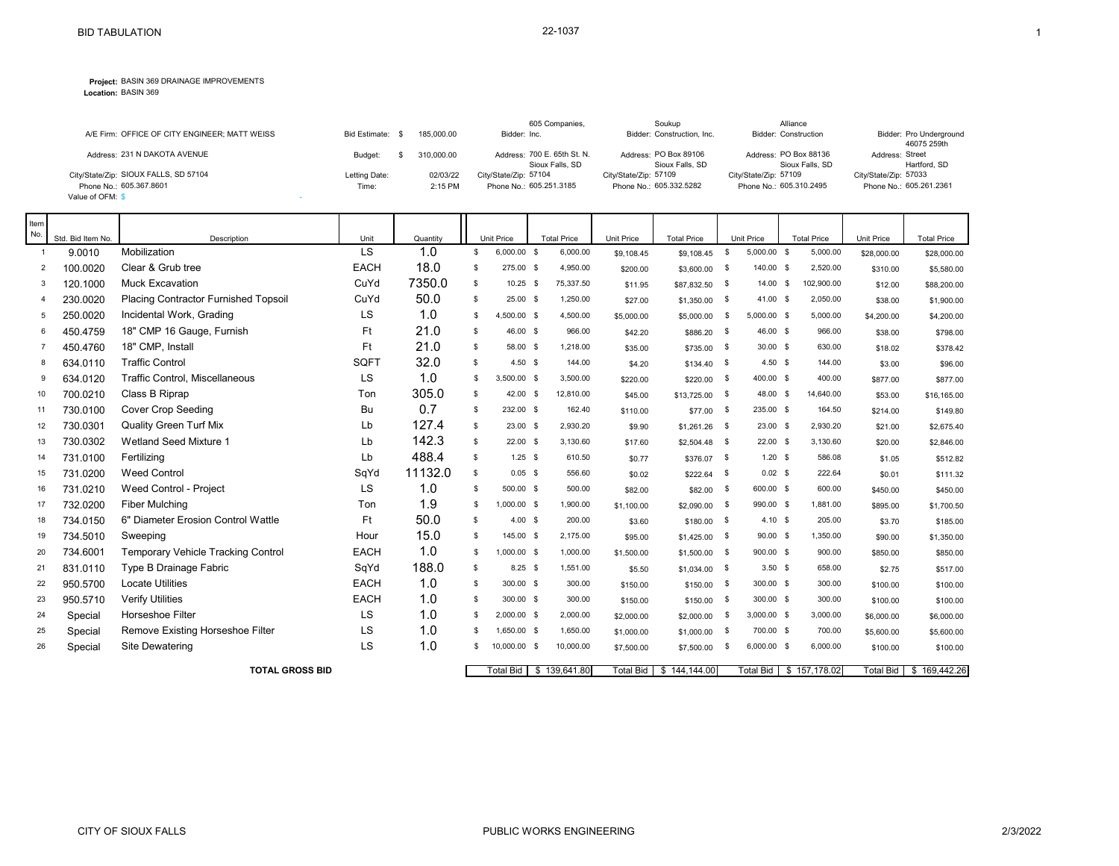**Location:** BASIN 369

|                                               |               |            | 605 Companies.              | Soukup                     | Alliance                    |                         |
|-----------------------------------------------|---------------|------------|-----------------------------|----------------------------|-----------------------------|-------------------------|
| A/E Firm: OFFICE OF CITY ENGINEER; MATT WEISS | Bid Estimate: | 185,000,00 | Bidder: Inc.                | Bidder: Construction, Inc. | <b>Bidder: Construction</b> | Bidder: Pro Underground |
|                                               |               |            |                             |                            |                             | 46075 259th             |
| Address: 231 N DAKOTA AVENUE                  | Budget:       | 310,000,00 | Address: 700 E. 65th St. N. | Address: PO Box 89106      | Address: PO Box 88136       | Address: Street         |
|                                               |               |            | Sioux Falls, SD             | Sioux Falls, SD            | Sioux Falls, SD             | Hartford, SD            |
| City/State/Zip: SIOUX FALLS, SD 57104         | Letting Date: | 02/03/22   | City/State/Zip: 57104       | City/State/Zip: 57109      | City/State/Zip: 57109       | City/State/Zip: 57033   |
| Phone No.: 605.367.8601                       | Time:         | 2:15 PM    | Phone No.: 605.251.3185     | Phone No.: 605.332.5282    | Phone No.: 605.310.2495     | Phone No.: 605.261.2361 |
| Value of OFM: \$                              |               |            |                             |                            |                             |                         |

| Item<br>No.    |                             |                                      |                   |                 |    |                                    |                                |                        |                          |              |                             |                                |                  |                    |
|----------------|-----------------------------|--------------------------------------|-------------------|-----------------|----|------------------------------------|--------------------------------|------------------------|--------------------------|--------------|-----------------------------|--------------------------------|------------------|--------------------|
| $\overline{1}$ | Std. Bid Item No.<br>9.0010 | Description<br>Mobilization          | Unit<br><b>LS</b> | Quantity<br>1.0 | \$ | <b>Unit Price</b><br>$6,000.00$ \$ | <b>Total Price</b><br>6,000.00 | Unit Price             | <b>Total Price</b>       | \$           | Unit Price<br>$5,000.00$ \$ | <b>Total Price</b><br>5,000.00 | Unit Price       | <b>Total Price</b> |
| 2              | 100.0020                    | Clear & Grub tree                    | <b>EACH</b>       | 18.0            | \$ | 275.00 \$                          | 4,950.00                       | \$9,108.45<br>\$200.00 | \$9,108.45<br>\$3,600.00 | - \$         | 140.00 \$                   | 2,520.00                       | \$28,000.00      | \$28,000.00        |
| 3              | 120.1000                    | <b>Muck Excavation</b>               | CuYd              | 7350.0          | \$ | $10.25$ \$                         | 75,337.50                      |                        |                          | - \$         | 14.00 S                     | 102,900.00                     | \$310.00         | \$5,580.00         |
| $\overline{4}$ | 230.0020                    | Placing Contractor Furnished Topsoil | CuYd              | 50.0            | \$ | $25.00$ \$                         | 1,250.00                       | \$11.95                | \$87,832.50              | - \$         | 41.00 \$                    | 2,050.00                       | \$12.00          | \$88,200.00        |
| 5              | 250.0020                    | Incidental Work, Grading             | LS                | 1.0             | s  | 500.00 \$                          | 4,500.00                       | \$27.00                | \$1,350.00               | \$           | $5,000.00$ \$               | 5,000.00                       | \$38.00          | \$1,900.00         |
|                |                             |                                      | Ft                | 21.0            |    |                                    |                                | \$5,000.00             | \$5,000.00               |              |                             |                                | \$4,200.00       | \$4,200.00         |
| 6              | 450.4759                    | 18" CMP 16 Gauge, Furnish            |                   |                 | s. | 46.00 \$                           | 966.00                         | \$42.20                | \$886.20 \$              |              | 46.00 \$                    | 966.00                         | \$38.00          | \$798.00           |
| $\overline{7}$ | 450.4760                    | 18" CMP. Install                     | Ft                | 21.0            | s. | 58.00 \$                           | 1,218.00                       | \$35.00                | \$735.00                 | - \$         | $30.00$ \$                  | 630.00                         | \$18.02          | \$378.42           |
| 8              | 634.0110                    | <b>Traffic Control</b>               | SQFT              | 32.0            | s  | $4.50$ \$                          | 144.00                         | \$4.20                 | $$134.40$ \$             |              | 4.50 S                      | 144.00                         | \$3.00           | \$96.00            |
| 9              | 634.0120                    | Traffic Control, Miscellaneous       | LS                | 1.0             | \$ | 3,500.00 \$                        | 3,500.00                       | \$220.00               | \$220.00                 | - \$         | 400.00 \$                   | 400.00                         | \$877.00         | \$877.00           |
| 10             | 700.0210                    | Class B Riprap                       | Ton               | 305.0           | s. | 42.00 \$                           | 12,810.00                      | \$45.00                | \$13,725.00              | $\mathbb{S}$ | 48.00 \$                    | 14.640.00                      | \$53.00          | \$16,165.00        |
| 11             | 730.0100                    | <b>Cover Crop Seeding</b>            | Bu                | 0.7             | \$ | 232.00 \$                          | 162.40                         | \$110.00               | \$77.00                  | - \$         | 235.00 \$                   | 164.50                         | \$214.00         | \$149.80           |
| 12             | 730.0301                    | <b>Quality Green Turf Mix</b>        | Lb                | 127.4           | \$ | $23.00$ \$                         | 2,930.20                       | \$9.90                 | \$1,261.26               | - \$         | $23.00$ \$                  | 2,930.20                       | \$21.00          | \$2,675.40         |
| 13             | 730.0302                    | <b>Wetland Seed Mixture 1</b>        | Lb                | 142.3           | \$ | $22.00$ \$                         | 3,130.60                       | \$17.60                | \$2,504.48               | - \$         | $22.00$ \$                  | 3,130.60                       | \$20.00          | \$2,846.00         |
| 14             | 731.0100                    | Fertilizing                          | Lb                | 488.4           | s. | $1.25$ \$                          | 610.50                         | \$0.77                 | \$376.07 \$              |              | 1.20S                       | 586.08                         | \$1.05           | \$512.82           |
| 15             | 731.0200                    | <b>Weed Control</b>                  | SqYd              | 11132.0         | \$ | $0.05$ \$                          | 556.60                         | \$0.02                 | \$222.64                 | - \$         | $0.02$ \$                   | 222.64                         | \$0.01           | \$111.32           |
| 16             | 731.0210                    | Weed Control - Project               | LS                | 1.0             | \$ | 500.00 \$                          | 500.00                         | \$82.00                | \$82.00                  | - \$         | 600.00 \$                   | 600.00                         | \$450.00         | \$450.00           |
| 17             | 732.0200                    | <b>Fiber Mulching</b>                | Ton               | 1.9             | s  | 1,000.00 \$                        | 1,900.00                       | \$1,100.00             | \$2,090.00               | - \$         | 990.00 \$                   | 1.881.00                       | \$895.00         | \$1,700.50         |
| 18             | 734.0150                    | 6" Diameter Erosion Control Wattle   | Ft                | 50.0            | \$ | $4.00\,$ \$                        | 200.00                         | \$3.60                 | \$180.00                 | \$           | 4.10 S                      | 205.00                         | \$3.70           | \$185.00           |
| 19             | 734.5010                    | Sweeping                             | Hour              | 15.0            | \$ | 145.00 \$                          | 2,175.00                       | \$95.00                | $$1,425.00$ \$           |              | 90.00 S                     | 1,350.00                       | \$90.00          | \$1,350.00         |
| 20             | 734.6001                    | Temporary Vehicle Tracking Control   | <b>EACH</b>       | 1.0             | s  | 1,000.00 \$                        | 1,000.00                       | \$1,500.00             | \$1,500.00               | - \$         | 900.00 \$                   | 900.00                         | \$850.00         | \$850.00           |
| 21             | 831.0110                    | Type B Drainage Fabric               | SqYd              | 188.0           | S. | $8.25$ \$                          | 1,551.00                       | \$5.50                 | \$1,034.00               | - \$         | $3.50$ \$                   | 658.00                         | \$2.75           | \$517.00           |
| 22             | 950.5700                    | <b>Locate Utilities</b>              | <b>EACH</b>       | 1.0             | \$ | 300.00 \$                          | 300.00                         | \$150.00               | \$150.00                 | - \$         | 300.00 \$                   | 300.00                         | \$100.00         | \$100.00           |
| 23             | 950.5710                    | <b>Verify Utilities</b>              | <b>EACH</b>       | 1.0             | \$ | 300.00 \$                          | 300.00                         | \$150.00               | \$150.00                 | - \$         | 300.00 \$                   | 300.00                         | \$100.00         | \$100.00           |
| 24             | Special                     | <b>Horseshoe Filter</b>              | LS                | 1.0             | -S | 2,000.00 \$                        | 2,000.00                       | \$2,000.00             | \$2,000.00               | \$           | $3,000.00$ \$               | 3,000.00                       | \$6,000.00       | \$6,000.00         |
| 25             | Special                     | Remove Existing Horseshoe Filter     | LS                | 1.0             | S  | 1,650.00 \$                        | 1,650.00                       | \$1,000.00             | \$1,000.00               | - \$         | 700.00 \$                   | 700.00                         | \$5,600.00       | \$5,600.00         |
| 26             | Special                     | Site Dewatering                      | LS                | 1.0             | \$ | 10,000.00 \$                       | 10,000.00                      | \$7,500.00             | \$7,500.00               | \$           | $6,000.00$ \$               | 6,000.00                       | \$100.00         | \$100.00           |
|                |                             | <b>TOTAL GROSS BID</b>               |                   |                 |    | <b>Total Bid</b>                   | \$139,641.80                   | <b>Total Bid</b>       | \$144,144.00             |              | Total Bid \ \$ 157,178.02   |                                | <b>Total Bid</b> | 169,442.26<br>\$   |